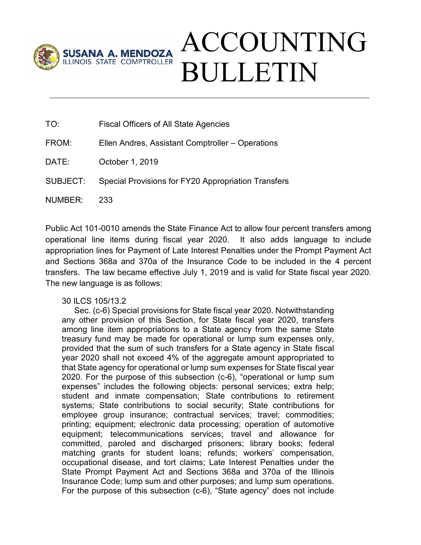

- TO: Fiscal Officers of All State Agencies
- FROM: Ellen Andres, Assistant Comptroller Operations
- DATE: October 1, 2019
- SUBJECT: Special Provisions for FY20 Appropriation Transfers
- NUMBER: 233

Public Act 101-0010 amends the State Finance Act to allow four percent transfers among operational line items during fiscal year 2020. It also adds language to include appropriation lines for Payment of Late Interest Penalties under the Prompt Payment Act and Sections 368a and 370a of the Insurance Code to be included in the 4 percent transfers. The law became effective July 1, 2019 and is valid for State fiscal year 2020. The new language is as follows:

30 ILCS 105/13.2

Sec. (c-6) Special provisions for State fiscal year 2020. Notwithstanding any other provision of this Section, for State fiscal year 2020, transfers among line item appropriations to a State agency from the same State treasury fund may be made for operational or lump sum expenses only, provided that the sum of such transfers for a State agency in State fiscal year 2020 shall not exceed 4% of the aggregate amount appropriated to that State agency for operational or lump sum expenses for State fiscal year 2020. For the purpose of this subsection (c-6), "operational or lump sum expenses" includes the following objects: personal services; extra help; student and inmate compensation; State contributions to retirement systems; State contributions to social security; State contributions for employee group insurance; contractual services; travel; commodities; printing; equipment; electronic data processing; operation of automotive equipment; telecommunications services; travel and allowance for committed, paroled and discharged prisoners; library books; federal matching grants for student loans; refunds; workers' compensation, occupational disease, and tort claims; Late Interest Penalties under the State Prompt Payment Act and Sections 368a and 370a of the Illinois Insurance Code; lump sum and other purposes; and lump sum operations. For the purpose of this subsection (c-6), "State agency" does not include